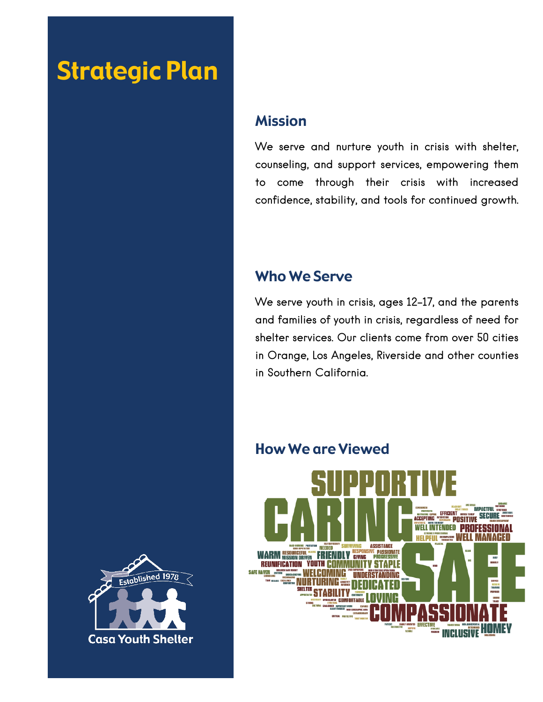# Strategic Plan

### Mission

We serve and nurture youth in crisis with shelter, counseling, and support services, empowering them to come through their crisis with increased confidence, stability, and tools for continued growth.

### Who We Serve

We serve youth in crisis, ages 12-17, and the parents and families of youth in crisis, regardless of need for shelter services. Our clients come from over 50 cities in Orange, Los Angeles, Riverside and other counties in Southern California.



### How We are Viewed

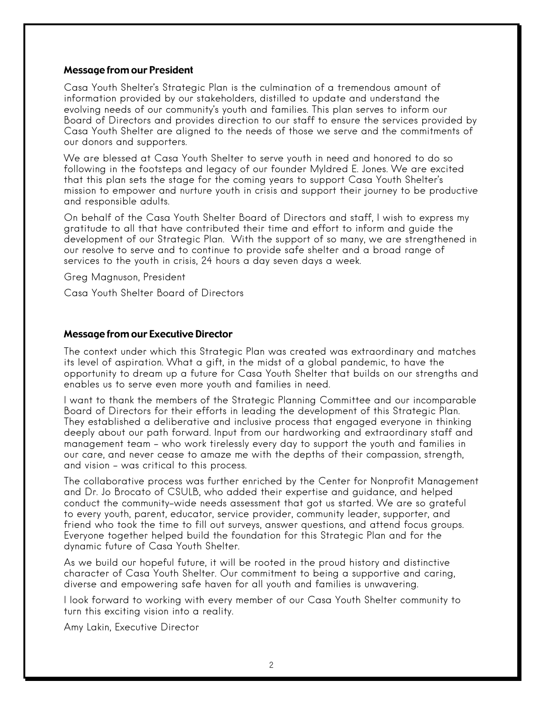#### Message from our President

Casa Youth Shelter's Strategic Plan is the culmination of a tremendous amount of information provided by our stakeholders, distilled to update and understand the evolving needs of our community's youth and families. This plan serves to inform our Board of Directors and provides direction to our staff to ensure the services provided by Casa Youth Shelter are aligned to the needs of those we serve and the commitments of our donors and supporters.

We are blessed at Casa Youth Shelter to serve youth in need and honored to do so following in the footsteps and legacy of our founder Myldred E. Jones. We are excited that this plan sets the stage for the coming years to support Casa Youth Shelter's mission to empower and nurture youth in crisis and support their journey to be productive and responsible adults.

On behalf of the Casa Youth Shelter Board of Directors and staff, I wish to express my gratitude to all that have contributed their time and effort to inform and guide the development of our Strategic Plan. With the support of so many, we are strengthened in our resolve to serve and to continue to provide safe shelter and a broad range of services to the youth in crisis, 24 hours a day seven days a week.

Greg Magnuson, President

Casa Youth Shelter Board of Directors

#### Message from our Executive Director

The context under which this Strategic Plan was created was extraordinary and matches its level of aspiration. What a gift, in the midst of a global pandemic, to have the opportunity to dream up a future for Casa Youth Shelter that builds on our strengths and enables us to serve even more youth and families in need.

I want to thank the members of the Strategic Planning Committee and our incomparable Board of Directors for their efforts in leading the development of this Strategic Plan. They established a deliberative and inclusive process that engaged everyone in thinking deeply about our path forward. Input from our hardworking and extraordinary staff and management team – who work tirelessly every day to support the youth and families in our care, and never cease to amaze me with the depths of their compassion, strength, and vision – was critical to this process.

The collaborative process was further enriched by the Center for Nonprofit Management and Dr. Jo Brocato of CSULB, who added their expertise and guidance, and helped conduct the community-wide needs assessment that got us started. We are so grateful to every youth, parent, educator, service provider, community leader, supporter, and friend who took the time to fill out surveys, answer questions, and attend focus groups. Everyone together helped build the foundation for this Strategic Plan and for the dynamic future of Casa Youth Shelter.

As we build our hopeful future, it will be rooted in the proud history and distinctive character of Casa Youth Shelter. Our commitment to being a supportive and caring, diverse and empowering safe haven for all youth and families is unwavering.

I look forward to working with every member of our Casa Youth Shelter community to turn this exciting vision into a reality.

Amy Lakin, Executive Director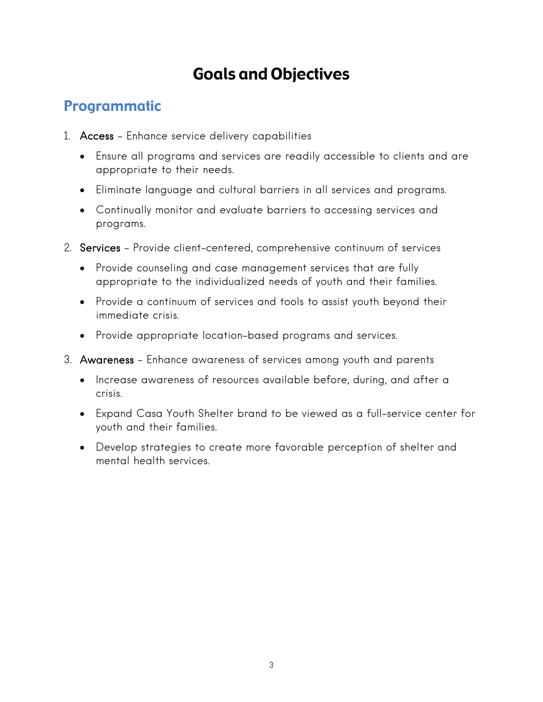# Goals and Objectives

# Programmatic

- 1. Access Enhance service delivery capabilities
	- Ensure all programs and services are readily accessible to clients and are appropriate to their needs.
	- Eliminate language and cultural barriers in all services and programs.
	- Continually monitor and evaluate barriers to accessing services and programs.
- 2. Services Provide client-centered, comprehensive continuum of services
	- Provide counseling and case management services that are fully appropriate to the individualized needs of youth and their families.
	- Provide a continuum of services and tools to assist youth beyond their immediate crisis.
	- Provide appropriate location-based programs and services.
- 3. Awareness Enhance awareness of services among youth and parents
	- Increase awareness of resources available before, during, and after a crisis.
	- Expand Casa Youth Shelter brand to be viewed as a full-service center for youth and their families.
	- Develop strategies to create more favorable perception of shelter and mental health services.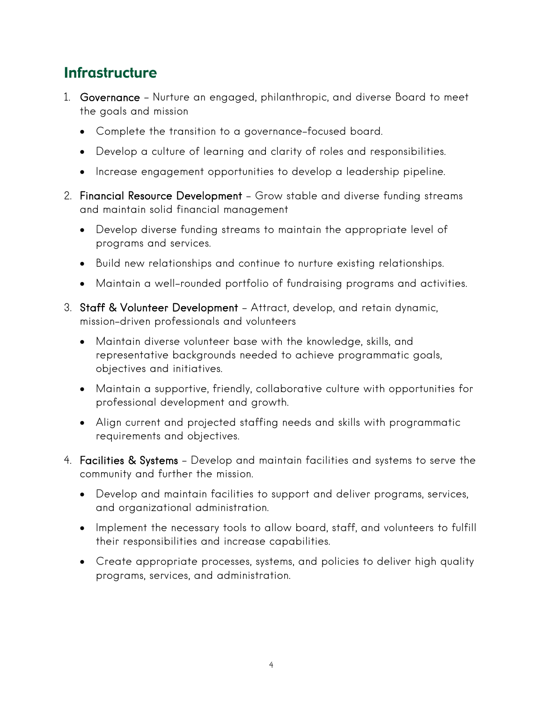## **Infrastructure**

- 1. Governance Nurture an engaged, philanthropic, and diverse Board to meet the goals and mission
	- Complete the transition to a governance-focused board.
	- Develop a culture of learning and clarity of roles and responsibilities.
	- Increase engagement opportunities to develop a leadership pipeline.
- 2. Financial Resource Development Grow stable and diverse funding streams and maintain solid financial management
	- Develop diverse funding streams to maintain the appropriate level of programs and services.
	- Build new relationships and continue to nurture existing relationships.
	- Maintain a well-rounded portfolio of fundraising programs and activities.
- 3. Staff & Volunteer Development Attract, develop, and retain dynamic, mission-driven professionals and volunteers
	- Maintain diverse volunteer base with the knowledge, skills, and representative backgrounds needed to achieve programmatic goals, objectives and initiatives.
	- Maintain a supportive, friendly, collaborative culture with opportunities for professional development and growth.
	- Align current and projected staffing needs and skills with programmatic requirements and objectives.
- 4. Facilities & Systems Develop and maintain facilities and systems to serve the community and further the mission.
	- Develop and maintain facilities to support and deliver programs, services, and organizational administration.
	- Implement the necessary tools to allow board, staff, and volunteers to fulfill their responsibilities and increase capabilities.
	- Create appropriate processes, systems, and policies to deliver high quality programs, services, and administration.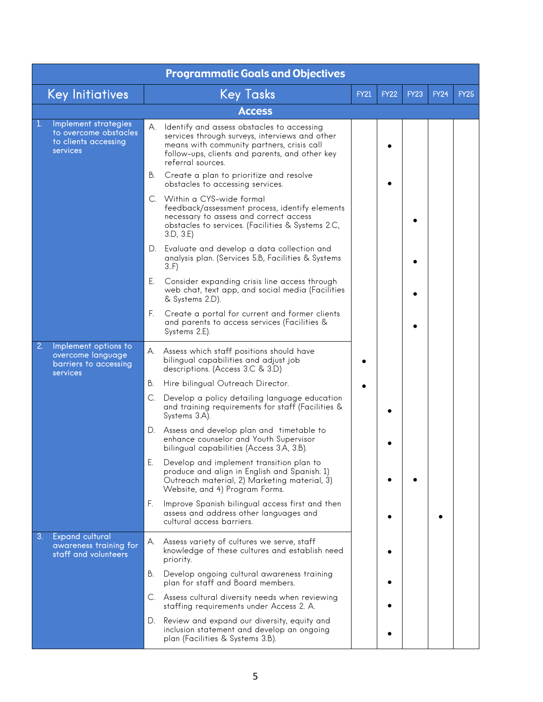|                | <b>Programmatic Goals and Objectives</b>                                          |    |                                                                                                                                                                                                                   |             |             |             |             |             |  |  |  |  |  |
|----------------|-----------------------------------------------------------------------------------|----|-------------------------------------------------------------------------------------------------------------------------------------------------------------------------------------------------------------------|-------------|-------------|-------------|-------------|-------------|--|--|--|--|--|
|                | <b>Key Initiatives</b>                                                            |    | <b>Key Tasks</b>                                                                                                                                                                                                  | <b>FY21</b> | <b>FY22</b> | <b>FY23</b> | <b>FY24</b> | <b>FY25</b> |  |  |  |  |  |
|                |                                                                                   |    | <b>Access</b>                                                                                                                                                                                                     |             |             |             |             |             |  |  |  |  |  |
| 1.             | Implement strategies<br>to overcome obstacles<br>to clients accessing<br>services | А. | Identify and assess obstacles to accessing<br>services through surveys, interviews and other<br>means with community partners, crisis call<br>follow-ups, clients and parents, and other key<br>referral sources. |             |             |             |             |             |  |  |  |  |  |
|                |                                                                                   | В. | Create a plan to prioritize and resolve<br>obstacles to accessing services.                                                                                                                                       |             |             |             |             |             |  |  |  |  |  |
|                |                                                                                   |    | C. Within a CYS-wide formal<br>feedback/assessment process, identify elements<br>necessary to assess and correct access<br>obstacles to services. (Facilities & Systems 2.C,<br>3.D, 3.E)                         |             |             |             |             |             |  |  |  |  |  |
|                |                                                                                   | D. | Evaluate and develop a data collection and<br>analysis plan. (Services 5.B, Facilities & Systems<br>3.F                                                                                                           |             |             |             |             |             |  |  |  |  |  |
|                |                                                                                   | Е. | Consider expanding crisis line access through<br>web chat, text app, and social media (Facilities<br>& Systems 2.D).                                                                                              |             |             |             |             |             |  |  |  |  |  |
|                |                                                                                   | F. | Create a portal for current and former clients<br>and parents to access services (Facilities &<br>Systems 2.E).                                                                                                   |             |             |             |             |             |  |  |  |  |  |
| 2 <sub>1</sub> | Implement options to<br>overcome language<br>barriers to accessing<br>services    | А. | Assess which staff positions should have<br>bilingual capabilities and adjust job<br>descriptions. (Access 3.C & 3.D)                                                                                             |             |             |             |             |             |  |  |  |  |  |
|                |                                                                                   | В. | Hire bilingual Outreach Director.                                                                                                                                                                                 |             |             |             |             |             |  |  |  |  |  |
|                |                                                                                   |    | C. Develop a policy detailing language education<br>and training requirements for staff (Facilities &<br>Systems 3.A).                                                                                            |             |             |             |             |             |  |  |  |  |  |
|                |                                                                                   |    | D. Assess and develop plan and timetable to<br>enhance counselor and Youth Supervisor<br>bilingual capabilities (Access 3.A, 3.B).                                                                                |             |             |             |             |             |  |  |  |  |  |
|                |                                                                                   | Е. | Develop and implement transition plan to<br>produce and align in English and Spanish: 1)<br>Outreach material, 2) Marketing material, 3)<br>Website, and 4) Program Forms.                                        |             |             |             |             |             |  |  |  |  |  |
|                |                                                                                   | F. | Improve Spanish bilingual access first and then<br>assess and address other languages and<br>cultural access barriers.                                                                                            |             |             |             |             |             |  |  |  |  |  |
| 3.             | <b>Expand cultural</b><br>awareness training for<br>staff and volunteers          | А. | Assess variety of cultures we serve, staff<br>knowledge of these cultures and establish need<br>priority.                                                                                                         |             |             |             |             |             |  |  |  |  |  |
|                |                                                                                   | В. | Develop ongoing cultural awareness training<br>plan for staff and Board members.                                                                                                                                  |             |             |             |             |             |  |  |  |  |  |
|                |                                                                                   |    | C. Assess cultural diversity needs when reviewing<br>staffing requirements under Access 2. A.                                                                                                                     |             |             |             |             |             |  |  |  |  |  |
|                |                                                                                   |    | D. Review and expand our diversity, equity and<br>inclusion statement and develop an ongoing<br>plan (Facilities & Systems 3.B).                                                                                  |             |             |             |             |             |  |  |  |  |  |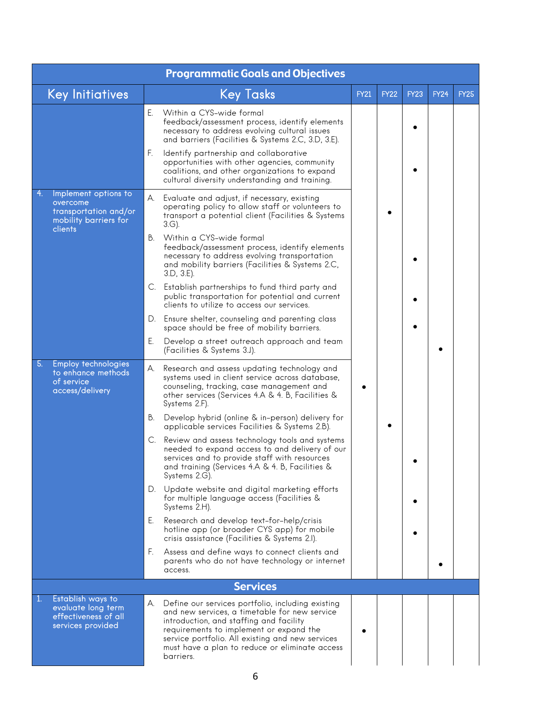| <b>Programmatic Goals and Objectives</b> |                                                                                               |    |                                                                                                                                                                                                                                                                                                             |             |             |             |             |             |  |  |  |
|------------------------------------------|-----------------------------------------------------------------------------------------------|----|-------------------------------------------------------------------------------------------------------------------------------------------------------------------------------------------------------------------------------------------------------------------------------------------------------------|-------------|-------------|-------------|-------------|-------------|--|--|--|
|                                          | <b>Key Initiatives</b>                                                                        |    | <b>Key Tasks</b>                                                                                                                                                                                                                                                                                            | <b>FY21</b> | <b>FY22</b> | <b>FY23</b> | <b>FY24</b> | <b>FY25</b> |  |  |  |
|                                          |                                                                                               | Ε. | Within a CYS-wide formal<br>feedback/assessment process, identify elements<br>necessary to address evolving cultural issues<br>and barriers (Facilities & Systems 2.C, 3.D, 3.E).                                                                                                                           |             |             |             |             |             |  |  |  |
|                                          |                                                                                               | F. | Identify partnership and collaborative<br>opportunities with other agencies, community<br>coalitions, and other organizations to expand<br>cultural diversity understanding and training.                                                                                                                   |             |             |             |             |             |  |  |  |
| 4.                                       | Implement options to<br>overcome<br>transportation and/or<br>mobility barriers for<br>clients | А. | Evaluate and adjust, if necessary, existing<br>operating policy to allow staff or volunteers to<br>transport a potential client (Facilities & Systems<br>$3.G$ ).                                                                                                                                           |             |             |             |             |             |  |  |  |
|                                          |                                                                                               | В. | Within a CYS-wide formal<br>feedback/assessment process, identify elements<br>necessary to address evolving transportation<br>and mobility barriers (Facilities & Systems 2.C,<br>3.D, 3.E.                                                                                                                 |             |             |             |             |             |  |  |  |
|                                          |                                                                                               |    | C. Establish partnerships to fund third party and<br>public transportation for potential and current<br>clients to utilize to access our services.                                                                                                                                                          |             |             |             |             |             |  |  |  |
|                                          |                                                                                               |    | D. Ensure shelter, counseling and parenting class<br>space should be free of mobility barriers.                                                                                                                                                                                                             |             |             |             |             |             |  |  |  |
|                                          |                                                                                               | Ε. | Develop a street outreach approach and team<br>(Facilities & Systems 3.J).                                                                                                                                                                                                                                  |             |             |             |             |             |  |  |  |
| 5.                                       | <b>Employ technologies</b><br>to enhance methods<br>of service<br>access/delivery             | А. | Research and assess updating technology and<br>systems used in client service across database,<br>counseling, tracking, case management and<br>other services (Services 4.A & 4. B, Facilities &<br>Systems 2.F).                                                                                           |             |             |             |             |             |  |  |  |
|                                          |                                                                                               | В. | Develop hybrid (online & in-person) delivery for<br>applicable services Facilities & Systems 2.B).                                                                                                                                                                                                          |             |             |             |             |             |  |  |  |
|                                          |                                                                                               | C. | Review and assess technology tools and systems<br>needed to expand access to and delivery of our<br>services and to provide staff with resources<br>and training (Services 4.A & 4. B, Facilities &<br>Systems 2.G).                                                                                        |             |             |             |             |             |  |  |  |
|                                          |                                                                                               |    | D. Update website and digital marketing efforts<br>for multiple language access (Facilities &<br>Systems 2.H).                                                                                                                                                                                              |             |             |             |             |             |  |  |  |
|                                          |                                                                                               | Е. | Research and develop text-for-help/crisis<br>hotline app (or broader CYS app) for mobile<br>crisis assistance (Facilities & Systems 2.I).                                                                                                                                                                   |             |             |             |             |             |  |  |  |
|                                          |                                                                                               | F. | Assess and define ways to connect clients and<br>parents who do not have technology or internet<br>access.                                                                                                                                                                                                  |             |             |             |             |             |  |  |  |
|                                          |                                                                                               |    | <b>Services</b>                                                                                                                                                                                                                                                                                             |             |             |             |             |             |  |  |  |
| $\mathbf{1}$                             | Establish ways to<br>evaluate long term<br>effectiveness of all<br>services provided          | А. | Define our services portfolio, including existing<br>and new services, a timetable for new service<br>introduction, and staffing and facility<br>requirements to implement or expand the<br>service portfolio. All existing and new services<br>must have a plan to reduce or eliminate access<br>barriers. |             |             |             |             |             |  |  |  |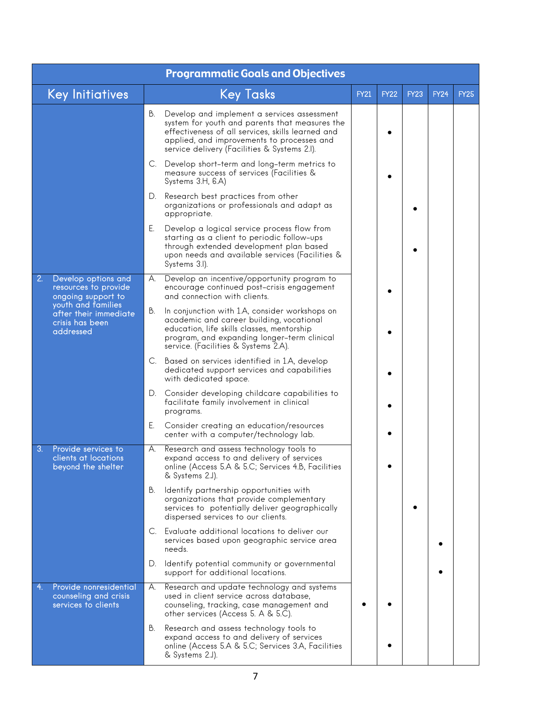|                                                                              | <b>Programmatic Goals and Objectives</b>                                                                                                                                                                                                               |             |             |             |             |             |
|------------------------------------------------------------------------------|--------------------------------------------------------------------------------------------------------------------------------------------------------------------------------------------------------------------------------------------------------|-------------|-------------|-------------|-------------|-------------|
| <b>Key Initiatives</b>                                                       | <b>Key Tasks</b>                                                                                                                                                                                                                                       | <b>FY21</b> | <b>FY22</b> | <b>FY23</b> | <b>FY24</b> | <b>FY25</b> |
|                                                                              | В.<br>Develop and implement a services assessment<br>system for youth and parents that measures the<br>effectiveness of all services, skills learned and<br>applied, and improvements to processes and<br>service delivery (Facilities & Systems 2.I). |             |             |             |             |             |
|                                                                              | C. Develop short-term and long-term metrics to<br>measure success of services (Facilities &<br>Systems 3.H, 6.A)                                                                                                                                       |             |             |             |             |             |
|                                                                              | Research best practices from other<br>D.<br>organizations or professionals and adapt as<br>appropriate.                                                                                                                                                |             |             |             |             |             |
|                                                                              | Е.<br>Develop a logical service process flow from<br>starting as a client to periodic follow-ups<br>through extended development plan based<br>upon needs and available services (Facilities &<br>Systems 3.I).                                        |             |             |             |             |             |
| 2.<br>Develop options and<br>resources to provide<br>ongoing support to      | Develop an incentive/opportunity program to<br>А.<br>encourage continued post-crisis engagement<br>and connection with clients.                                                                                                                        |             |             |             |             |             |
| youth and families<br>after their immediate<br>crisis has been<br>addressed  | In conjunction with 1.A, consider workshops on<br>В.<br>academic and career building, vocational<br>education, life skills classes, mentorship<br>program, and expanding longer-term clinical<br>service. (Facilities & Systems 2.A).                  |             |             |             |             |             |
|                                                                              | C. Based on services identified in 1.A, develop<br>dedicated support services and capabilities<br>with dedicated space.                                                                                                                                |             |             |             |             |             |
|                                                                              | D. Consider developing childcare capabilities to<br>facilitate family involvement in clinical<br>programs.                                                                                                                                             |             |             |             |             |             |
|                                                                              | Ε.<br>Consider creating an education/resources<br>center with a computer/technology lab.                                                                                                                                                               |             |             |             |             |             |
| 3.<br>Provide services to<br>clients at locations<br>beyond the shelter      | А.<br>Research and assess technology tools to<br>expand access to and delivery of services<br>online (Access 5.A & 5.C; Services 4.B, Facilities<br>& Systems 2.J).                                                                                    |             |             |             |             |             |
|                                                                              | В.<br>Identify partnership opportunities with<br>organizations that provide complementary<br>services to potentially deliver geographically<br>dispersed services to our clients.                                                                      |             |             |             |             |             |
|                                                                              | Evaluate additional locations to deliver our<br>C.<br>services based upon geographic service area<br>needs.                                                                                                                                            |             |             |             |             |             |
|                                                                              | Identify potential community or governmental<br>D.<br>support for additional locations.                                                                                                                                                                |             |             |             |             |             |
| 4.<br>Provide nonresidential<br>counseling and crisis<br>services to clients | Research and update technology and systems<br>А.<br>used in client service across database,<br>counseling, tracking, case management and<br>other services (Access 5. A & 5.C).                                                                        |             |             |             |             |             |
|                                                                              | В.<br>Research and assess technology tools to<br>expand access to and delivery of services<br>online (Access 5.A & 5.C; Services 3.A, Facilities<br>& Systems 2.J).                                                                                    |             |             |             |             |             |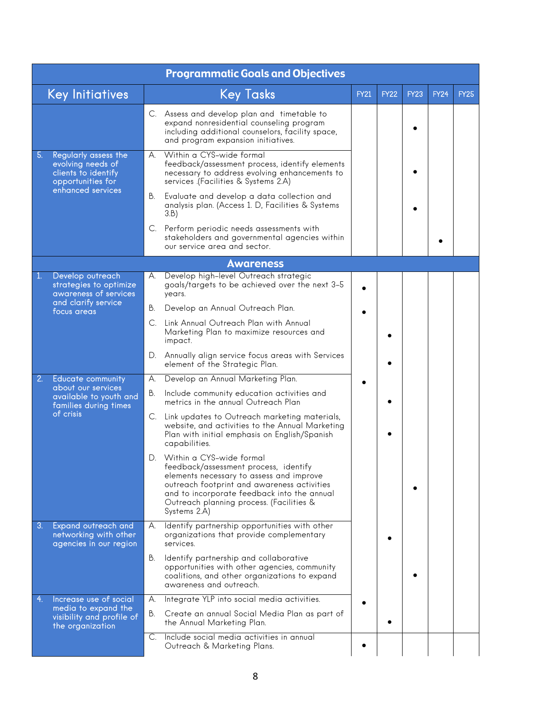|    |                                                                                                            |             | <b>Programmatic Goals and Objectives</b>                                                                                                                                                                                                                                |             |             |             |             |             |
|----|------------------------------------------------------------------------------------------------------------|-------------|-------------------------------------------------------------------------------------------------------------------------------------------------------------------------------------------------------------------------------------------------------------------------|-------------|-------------|-------------|-------------|-------------|
|    | <b>Key Initiatives</b>                                                                                     |             | <b>Key Tasks</b>                                                                                                                                                                                                                                                        | <b>FY21</b> | <b>FY22</b> | <b>FY23</b> | <b>FY24</b> | <b>FY25</b> |
|    |                                                                                                            |             | C. Assess and develop plan and timetable to<br>expand nonresidential counseling program<br>including additional counselors, facility space,<br>and program expansion initiatives.                                                                                       |             |             |             |             |             |
| 5. | Regularly assess the<br>evolving needs of<br>clients to identify<br>opportunities for<br>enhanced services | А.          | Within a CYS-wide formal<br>feedback/assessment process, identify elements<br>necessary to address evolving enhancements to<br>services (Facilities & Systems 2.A)                                                                                                      |             |             |             |             |             |
|    |                                                                                                            | В.          | Evaluate and develop a data collection and<br>analysis plan. (Access 1. D, Facilities & Systems<br>3.B)                                                                                                                                                                 |             |             |             |             |             |
|    |                                                                                                            | C.          | Perform periodic needs assessments with<br>stakeholders and governmental agencies within<br>our service area and sector.                                                                                                                                                |             |             |             |             |             |
|    |                                                                                                            |             | <b>Awareness</b>                                                                                                                                                                                                                                                        |             |             |             |             |             |
| 1. | Develop outreach<br>strategies to optimize<br>awareness of services                                        | А.          | Develop high-level Outreach strategic<br>goals/targets to be achieved over the next 3-5<br>years.                                                                                                                                                                       |             |             |             |             |             |
|    | and clarify service<br>focus areas                                                                         | В.          | Develop an Annual Outreach Plan.                                                                                                                                                                                                                                        |             |             |             |             |             |
|    |                                                                                                            | $C_{\cdot}$ | Link Annual Outreach Plan with Annual<br>Marketing Plan to maximize resources and<br>impact.                                                                                                                                                                            |             |             |             |             |             |
|    |                                                                                                            | D.          | Annually align service focus areas with Services<br>element of the Strategic Plan.                                                                                                                                                                                      |             |             |             |             |             |
| 2. | <b>Educate community</b>                                                                                   | А.          | Develop an Annual Marketing Plan.                                                                                                                                                                                                                                       |             |             |             |             |             |
|    | about our services<br>available to youth and<br>families during times<br>of crisis                         | В.          | Include community education activities and<br>metrics in the annual Outreach Plan                                                                                                                                                                                       |             |             |             |             |             |
|    |                                                                                                            | C.          | Link updates to Outreach marketing materials,<br>website, and activities to the Annual Marketing<br>Plan with initial emphasis on English/Spanish<br>capabilities.                                                                                                      |             |             |             |             |             |
|    |                                                                                                            | D.          | Within a CYS-wide formal<br>feedback/assessment process, identify<br>elements necessary to assess and improve<br>outreach footprint and awareness activities<br>and to incorporate feedback into the annual<br>Outreach planning process. (Facilities &<br>Systems 2.A) |             |             |             |             |             |
| 3. | Expand outreach and<br>networking with other<br>agencies in our region                                     | А.          | Identify partnership opportunities with other<br>organizations that provide complementary<br>services.                                                                                                                                                                  |             |             |             |             |             |
|    |                                                                                                            | В.          | Identify partnership and collaborative<br>opportunities with other agencies, community<br>coalitions, and other organizations to expand<br>awareness and outreach.                                                                                                      |             |             |             |             |             |
| 4. | Increase use of social<br>media to expand the                                                              | А.          | Integrate YLP into social media activities.                                                                                                                                                                                                                             |             |             |             |             |             |
|    | visibility and profile of<br>the organization                                                              | В.          | Create an annual Social Media Plan as part of<br>the Annual Marketing Plan.                                                                                                                                                                                             |             |             |             |             |             |
|    |                                                                                                            | C.          | Include social media activities in annual<br>Outreach & Marketing Plans.                                                                                                                                                                                                |             |             |             |             |             |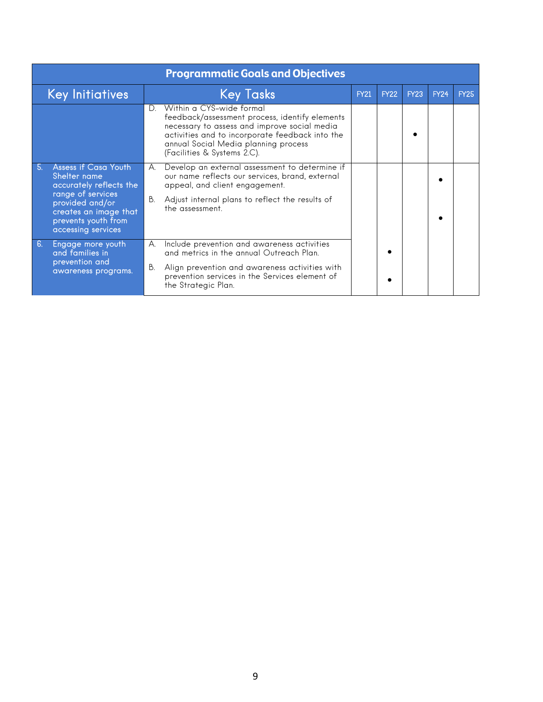|    | <b>Programmatic Goals and Objectives</b>                                                                                                                                      |          |                                                                                                                                                                                                                                                      |             |             |             |             |             |  |  |  |  |
|----|-------------------------------------------------------------------------------------------------------------------------------------------------------------------------------|----------|------------------------------------------------------------------------------------------------------------------------------------------------------------------------------------------------------------------------------------------------------|-------------|-------------|-------------|-------------|-------------|--|--|--|--|
|    | <b>Key Initiatives</b>                                                                                                                                                        |          | <b>Key Tasks</b>                                                                                                                                                                                                                                     | <b>FY21</b> | <b>FY22</b> | <b>FY23</b> | <b>FY24</b> | <b>FY25</b> |  |  |  |  |
|    |                                                                                                                                                                               | D.       | Within a CYS-wide formal<br>feedback/assessment process, identify elements<br>necessary to assess and improve social media<br>activities and to incorporate feedback into the<br>annual Social Media planning process<br>(Facilities & Systems 2.C). |             |             |             |             |             |  |  |  |  |
| 5. | Assess if Casa Youth<br>Shelter name<br>accurately reflects the<br>range of services<br>provided and/or<br>creates an image that<br>prevents youth from<br>accessing services | А.<br>В. | Develop an external assessment to determine if<br>our name reflects our services, brand, external<br>appeal, and client engagement.<br>Adjust internal plans to reflect the results of<br>the assessment.                                            |             |             |             |             |             |  |  |  |  |
| 6. | Engage more youth<br>and families in<br>prevention and<br>awareness programs.                                                                                                 | А.<br>В. | Include prevention and awareness activities<br>and metrics in the annual Outreach Plan.<br>Align prevention and awareness activities with<br>prevention services in the Services element of<br>the Strategic Plan.                                   |             |             |             |             |             |  |  |  |  |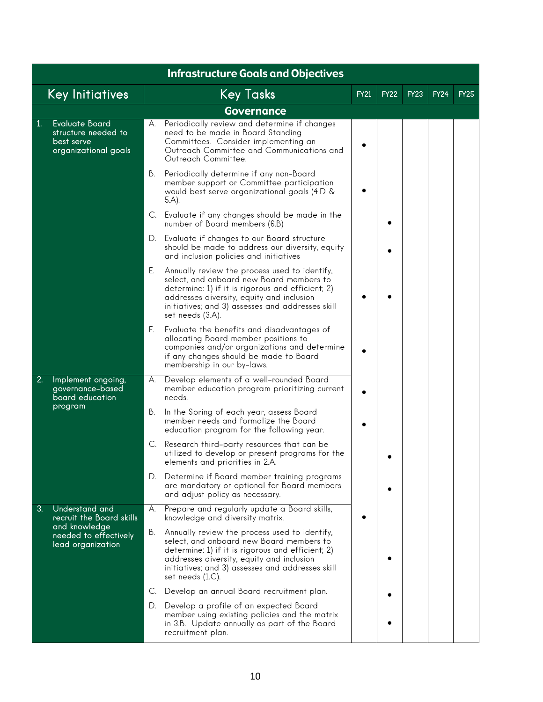|              | <b>Infrastructure Goals and Objectives</b>                                         |    |                                                                                                                                                                                                                                                                     |             |             |             |             |             |  |  |  |  |  |
|--------------|------------------------------------------------------------------------------------|----|---------------------------------------------------------------------------------------------------------------------------------------------------------------------------------------------------------------------------------------------------------------------|-------------|-------------|-------------|-------------|-------------|--|--|--|--|--|
|              | <b>Key Initiatives</b>                                                             |    | Key Tasks                                                                                                                                                                                                                                                           | <b>FY21</b> | <b>FY22</b> | <b>FY23</b> | <b>FY24</b> | <b>FY25</b> |  |  |  |  |  |
|              |                                                                                    |    | <b>Governance</b>                                                                                                                                                                                                                                                   |             |             |             |             |             |  |  |  |  |  |
| $\mathbf{1}$ | <b>Evaluate Board</b><br>structure needed to<br>best serve<br>organizational goals | А. | Periodically review and determine if changes<br>need to be made in Board Standing<br>Committees. Consider implementing an<br>Outreach Committee and Communications and<br>Outreach Committee.                                                                       |             |             |             |             |             |  |  |  |  |  |
|              |                                                                                    | В. | Periodically determine if any non-Board<br>member support or Committee participation<br>would best serve organizational goals (4.D &<br>5.A).                                                                                                                       |             |             |             |             |             |  |  |  |  |  |
|              |                                                                                    | C. | Evaluate if any changes should be made in the<br>number of Board members (6.B)                                                                                                                                                                                      |             |             |             |             |             |  |  |  |  |  |
|              |                                                                                    | D. | Evaluate if changes to our Board structure<br>should be made to address our diversity, equity<br>and inclusion policies and initiatives                                                                                                                             |             |             |             |             |             |  |  |  |  |  |
|              |                                                                                    | Е. | Annually review the process used to identify,<br>select, and onboard new Board members to<br>determine: 1) if it is rigorous and efficient; 2)<br>addresses diversity, equity and inclusion<br>initiatives; and 3) assesses and addresses skill<br>set needs (3.A). |             |             |             |             |             |  |  |  |  |  |
|              |                                                                                    | F. | Evaluate the benefits and disadvantages of<br>allocating Board member positions to<br>companies and/or organizations and determine<br>if any changes should be made to Board<br>membership in our by-laws.                                                          |             |             |             |             |             |  |  |  |  |  |
| 2.           | Implement ongoing,<br>governance-based<br>board education<br>program               | А. | Develop elements of a well-rounded Board<br>member education program prioritizing current<br>needs.                                                                                                                                                                 |             |             |             |             |             |  |  |  |  |  |
|              |                                                                                    | В. | In the Spring of each year, assess Board<br>member needs and formalize the Board<br>education program for the following year.                                                                                                                                       |             |             |             |             |             |  |  |  |  |  |
|              |                                                                                    | C. | Research third-party resources that can be<br>utilized to develop or present programs for the<br>elements and priorities in 2.A.                                                                                                                                    |             |             |             |             |             |  |  |  |  |  |
|              |                                                                                    | D. | Determine if Board member training programs<br>are mandatory or optional for Board members<br>and adjust policy as necessary.                                                                                                                                       |             |             |             |             |             |  |  |  |  |  |
| 3.           | Understand and<br>recruit the Board skills                                         | А. | Prepare and regularly update a Board skills,<br>knowledge and diversity matrix.                                                                                                                                                                                     |             |             |             |             |             |  |  |  |  |  |
|              | and knowledge<br>needed to effectively<br>lead organization                        | В. | Annually review the process used to identify,<br>select, and onboard new Board members to<br>determine: 1) if it is rigorous and efficient; 2)<br>addresses diversity, equity and inclusion<br>initiatives; and 3) assesses and addresses skill<br>set needs (1.C). |             |             |             |             |             |  |  |  |  |  |
|              |                                                                                    |    | C. Develop an annual Board recruitment plan.                                                                                                                                                                                                                        |             |             |             |             |             |  |  |  |  |  |
|              |                                                                                    | D. | Develop a profile of an expected Board<br>member using existing policies and the matrix<br>in 3.B. Update annually as part of the Board<br>recruitment plan.                                                                                                        |             |             |             |             |             |  |  |  |  |  |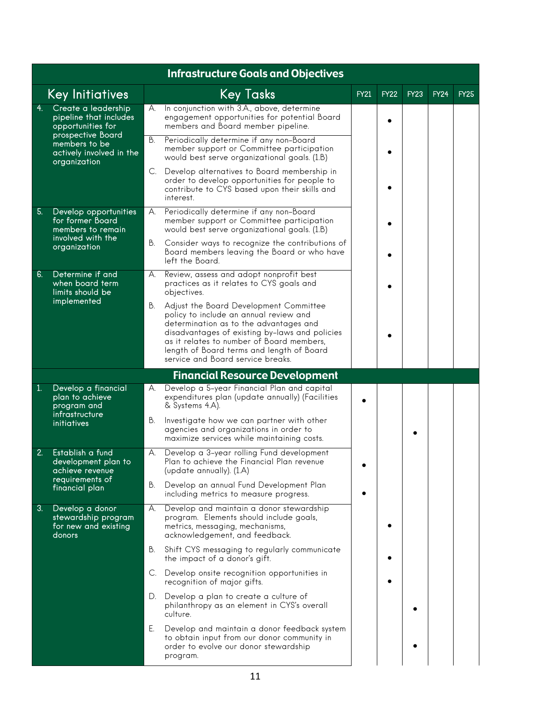|    | <b>Infrastructure Goals and Objectives</b>                                     |    |                                                                                                                                                                                                                                                                                                             |             |             |             |             |             |  |  |  |  |
|----|--------------------------------------------------------------------------------|----|-------------------------------------------------------------------------------------------------------------------------------------------------------------------------------------------------------------------------------------------------------------------------------------------------------------|-------------|-------------|-------------|-------------|-------------|--|--|--|--|
|    | <b>Key Initiatives</b>                                                         |    | <b>Key Tasks</b>                                                                                                                                                                                                                                                                                            | <b>FY21</b> | <b>FY22</b> | <b>FY23</b> | <b>FY24</b> | <b>FY25</b> |  |  |  |  |
| 4. | Create a leadership<br>pipeline that includes<br>opportunities for             | А. | In conjunction with 3.A., above, determine<br>engagement opportunities for potential Board<br>members and Board member pipeline.                                                                                                                                                                            |             |             |             |             |             |  |  |  |  |
|    | prospective Board<br>members to be<br>actively involved in the<br>organization | В. | Periodically determine if any non-Board<br>member support or Committee participation<br>would best serve organizational goals. (1.B)                                                                                                                                                                        |             |             |             |             |             |  |  |  |  |
|    |                                                                                | C. | Develop alternatives to Board membership in<br>order to develop opportunities for people to<br>contribute to CYS based upon their skills and<br>interest.                                                                                                                                                   |             |             |             |             |             |  |  |  |  |
| 5. | Develop opportunities<br>for former Board<br>members to remain                 | А. | Periodically determine if any non-Board<br>member support or Committee participation<br>would best serve organizational goals. (1.B)                                                                                                                                                                        |             |             |             |             |             |  |  |  |  |
|    | involved with the<br>organization                                              | В. | Consider ways to recognize the contributions of<br>Board members leaving the Board or who have<br>left the Board.                                                                                                                                                                                           |             |             |             |             |             |  |  |  |  |
| 6. | Determine if and<br>when board term<br>limits should be                        | А. | Review, assess and adopt nonprofit best<br>practices as it relates to CYS goals and<br>objectives.                                                                                                                                                                                                          |             |             |             |             |             |  |  |  |  |
|    | implemented                                                                    | В. | Adjust the Board Development Committee<br>policy to include an annual review and<br>determination as to the advantages and<br>disadvantages of existing by-laws and policies<br>as it relates to number of Board members,<br>length of Board terms and length of Board<br>service and Board service breaks. |             |             |             |             |             |  |  |  |  |
|    |                                                                                |    | <b>Financial Resource Development</b>                                                                                                                                                                                                                                                                       |             |             |             |             |             |  |  |  |  |
| 1. | Develop a financial<br>plan to achieve<br>program and<br>infrastructure        | А. | Develop a 5-year Financial Plan and capital<br>expenditures plan (update annually) (Facilities<br>& Systems 4.A).                                                                                                                                                                                           |             |             |             |             |             |  |  |  |  |
|    | initiatives                                                                    | В. | Investigate how we can partner with other<br>agencies and organizations in order to<br>maximize services while maintaining costs.                                                                                                                                                                           |             |             |             |             |             |  |  |  |  |
| 2. | Establish a fund<br>development plan to<br>achieve revenue                     | А. | Develop a 3-year rolling Fund development<br>Plan to achieve the Financial Plan revenue<br>(update annually). (1.A)                                                                                                                                                                                         |             |             |             |             |             |  |  |  |  |
|    | requirements of<br>financial plan                                              | В. | Develop an annual Fund Development Plan<br>including metrics to measure progress.                                                                                                                                                                                                                           |             |             |             |             |             |  |  |  |  |
| 3. | Develop a donor<br>stewardship program<br>for new and existing<br>donors       | А. | Develop and maintain a donor stewardship<br>program. Elements should include goals,<br>metrics, messaging, mechanisms,<br>acknowledgement, and feedback.                                                                                                                                                    |             |             |             |             |             |  |  |  |  |
|    |                                                                                | В. | Shift CYS messaging to regularly communicate<br>the impact of a donor's gift.                                                                                                                                                                                                                               |             |             |             |             |             |  |  |  |  |
|    |                                                                                | C. | Develop onsite recognition opportunities in<br>recognition of major gifts.                                                                                                                                                                                                                                  |             |             |             |             |             |  |  |  |  |
|    |                                                                                | D. | Develop a plan to create a culture of<br>philanthropy as an element in CYS's overall<br>culture.                                                                                                                                                                                                            |             |             |             |             |             |  |  |  |  |
|    |                                                                                | Е. | Develop and maintain a donor feedback system<br>to obtain input from our donor community in<br>order to evolve our donor stewardship<br>program.                                                                                                                                                            |             |             |             |             |             |  |  |  |  |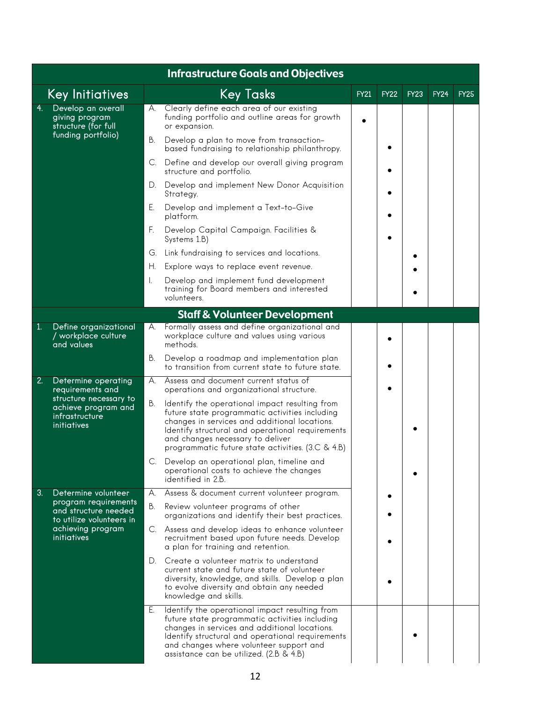|            | <b>Infrastructure Goals and Objectives</b>                                                                                |    |                                                                                                                                                                                                                                                                                                |             |             |             |             |             |  |  |  |  |
|------------|---------------------------------------------------------------------------------------------------------------------------|----|------------------------------------------------------------------------------------------------------------------------------------------------------------------------------------------------------------------------------------------------------------------------------------------------|-------------|-------------|-------------|-------------|-------------|--|--|--|--|
|            | Key Initiatives                                                                                                           |    | <b>Key Tasks</b>                                                                                                                                                                                                                                                                               | <b>FY21</b> | <b>FY22</b> | <b>FY23</b> | <b>FY24</b> | <b>FY25</b> |  |  |  |  |
| 4.         | Develop an overall<br>giving program<br>structure (for full                                                               | А. | Clearly define each area of our existing<br>funding portfolio and outline areas for growth<br>or expansion.                                                                                                                                                                                    |             |             |             |             |             |  |  |  |  |
|            | funding portfolio)                                                                                                        | В. | Develop a plan to move from transaction-<br>based fundraising to relationship philanthropy.                                                                                                                                                                                                    |             |             |             |             |             |  |  |  |  |
|            |                                                                                                                           | C. | Define and develop our overall giving program<br>structure and portfolio.                                                                                                                                                                                                                      |             |             |             |             |             |  |  |  |  |
|            |                                                                                                                           | D. | Develop and implement New Donor Acquisition<br>Strategy.                                                                                                                                                                                                                                       |             |             |             |             |             |  |  |  |  |
|            |                                                                                                                           | Е. | Develop and implement a Text-to-Give<br>platform.                                                                                                                                                                                                                                              |             |             |             |             |             |  |  |  |  |
|            |                                                                                                                           | F. | Develop Capital Campaign. Facilities &<br>Systems 1.B)                                                                                                                                                                                                                                         |             |             |             |             |             |  |  |  |  |
|            |                                                                                                                           | G. | Link fundraising to services and locations.                                                                                                                                                                                                                                                    |             |             |             |             |             |  |  |  |  |
|            |                                                                                                                           | Н. | Explore ways to replace event revenue.                                                                                                                                                                                                                                                         |             |             |             |             |             |  |  |  |  |
|            |                                                                                                                           | Ι. | Develop and implement fund development<br>training for Board members and interested<br>volunteers.                                                                                                                                                                                             |             |             |             |             |             |  |  |  |  |
|            |                                                                                                                           |    | <b>Staff &amp; Volunteer Development</b>                                                                                                                                                                                                                                                       |             |             |             |             |             |  |  |  |  |
| $\vert$ 1. | Define organizational<br>/ workplace culture<br>and values                                                                | А. | Formally assess and define organizational and<br>workplace culture and values using various<br>methods.                                                                                                                                                                                        |             |             |             |             |             |  |  |  |  |
|            |                                                                                                                           | В. | Develop a roadmap and implementation plan<br>to transition from current state to future state.                                                                                                                                                                                                 |             |             |             |             |             |  |  |  |  |
| 2.         | Determine operating<br>requirements and<br>structure necessary to<br>achieve program and<br>infrastructure<br>initiatives | А. | Assess and document current status of<br>operations and organizational structure.                                                                                                                                                                                                              |             |             |             |             |             |  |  |  |  |
|            |                                                                                                                           | В. | Identify the operational impact resulting from<br>future state programmatic activities including<br>changes in services and additional locations.<br>Identify structural and operational requirements<br>and changes necessary to deliver<br>programmatic future state activities. (3.C & 4.B) |             |             |             |             |             |  |  |  |  |
|            |                                                                                                                           |    | C. Develop an operational plan, timeline and<br>operational costs to achieve the changes<br>identified in 2.B.                                                                                                                                                                                 |             |             |             |             |             |  |  |  |  |
| 3.         | Determine volunteer                                                                                                       | А. | Assess & document current volunteer program.                                                                                                                                                                                                                                                   |             |             |             |             |             |  |  |  |  |
|            | program requirements<br>and structure needed<br>to utilize volunteers in                                                  | В. | Review volunteer programs of other<br>organizations and identify their best practices.                                                                                                                                                                                                         |             |             |             |             |             |  |  |  |  |
|            | achieving program<br><i>initiatives</i>                                                                                   |    | C. Assess and develop ideas to enhance volunteer<br>recruitment based upon future needs. Develop<br>a plan for training and retention.                                                                                                                                                         |             |             |             |             |             |  |  |  |  |
|            |                                                                                                                           | D. | Create a volunteer matrix to understand<br>current state and future state of volunteer<br>diversity, knowledge, and skills. Develop a plan<br>to evolve diversity and obtain any needed<br>knowledge and skills.                                                                               |             |             |             |             |             |  |  |  |  |
|            |                                                                                                                           | Е. | Identify the operational impact resulting from<br>future state programmatic activities including<br>changes in services and additional locations.<br>Identify structural and operational requirements<br>and changes where volunteer support and<br>assistance can be utilized. (2.B & 4.B)    |             |             |             |             |             |  |  |  |  |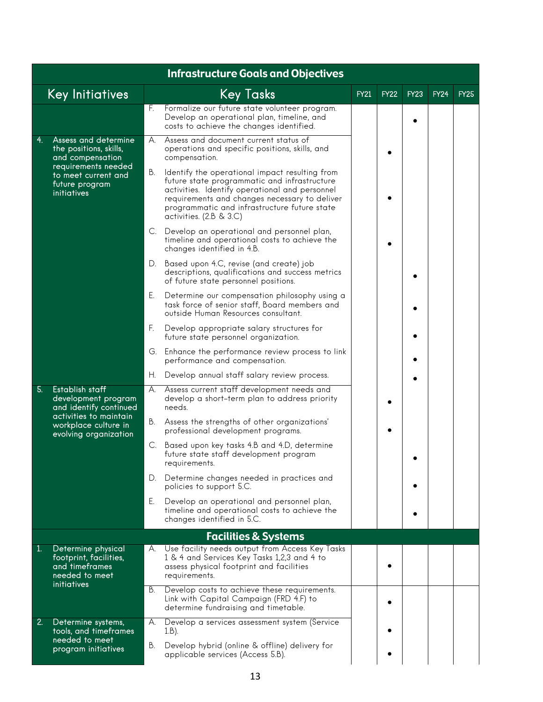|              | <b>Infrastructure Goals and Objectives</b>                                                                                                  |    |                                                                                                                                                                                                                                                                                |             |             |             |             |             |  |  |  |  |  |
|--------------|---------------------------------------------------------------------------------------------------------------------------------------------|----|--------------------------------------------------------------------------------------------------------------------------------------------------------------------------------------------------------------------------------------------------------------------------------|-------------|-------------|-------------|-------------|-------------|--|--|--|--|--|
|              | <b>Key Initiatives</b>                                                                                                                      |    | <b>Key Tasks</b>                                                                                                                                                                                                                                                               | <b>FY21</b> | <b>FY22</b> | <b>FY23</b> | <b>FY24</b> | <b>FY25</b> |  |  |  |  |  |
|              |                                                                                                                                             | F. | Formalize our future state volunteer program.<br>Develop an operational plan, timeline, and<br>costs to achieve the changes identified.                                                                                                                                        |             |             |             |             |             |  |  |  |  |  |
| 4.           | Assess and determine<br>the positions, skills,<br>and compensation<br>requirements needed                                                   | А. | Assess and document current status of<br>operations and specific positions, skills, and<br>compensation.                                                                                                                                                                       |             |             |             |             |             |  |  |  |  |  |
|              | to meet current and<br>future program<br>initiatives                                                                                        | В. | Identify the operational impact resulting from<br>future state programmatic and infrastructure<br>activities. Identify operational and personnel<br>requirements and changes necessary to deliver<br>programmatic and infrastructure future state<br>activities. $(2.B & 3.C)$ |             |             |             |             |             |  |  |  |  |  |
|              |                                                                                                                                             | C. | Develop an operational and personnel plan,<br>timeline and operational costs to achieve the<br>changes identified in 4.B.                                                                                                                                                      |             |             |             |             |             |  |  |  |  |  |
|              |                                                                                                                                             | D. | Based upon 4.C, revise (and create) job<br>descriptions, qualifications and success metrics<br>of future state personnel positions.                                                                                                                                            |             |             |             |             |             |  |  |  |  |  |
|              |                                                                                                                                             | Е. | Determine our compensation philosophy using a<br>task force of senior staff, Board members and<br>outside Human Resources consultant.                                                                                                                                          |             |             |             |             |             |  |  |  |  |  |
|              |                                                                                                                                             | F. | Develop appropriate salary structures for<br>future state personnel organization.                                                                                                                                                                                              |             |             |             |             |             |  |  |  |  |  |
|              |                                                                                                                                             | G. | Enhance the performance review process to link<br>performance and compensation.                                                                                                                                                                                                |             |             |             |             |             |  |  |  |  |  |
|              |                                                                                                                                             | Н. | Develop annual staff salary review process.                                                                                                                                                                                                                                    |             |             |             |             |             |  |  |  |  |  |
| 5.           | Establish staff<br>development program<br>and identify continued<br>activities to maintain<br>workplace culture in<br>evolving organization | А. | Assess current staff development needs and<br>develop a short-term plan to address priority<br>needs.                                                                                                                                                                          |             |             |             |             |             |  |  |  |  |  |
|              |                                                                                                                                             | В. | Assess the strengths of other organizations'<br>professional development programs.                                                                                                                                                                                             |             |             |             |             |             |  |  |  |  |  |
|              |                                                                                                                                             | C. | Based upon key tasks 4.B and 4.D, determine<br>future state staff development program<br>requirements.                                                                                                                                                                         |             |             |             |             |             |  |  |  |  |  |
|              |                                                                                                                                             | D. | Determine changes needed in practices and<br>policies to support 5.C.                                                                                                                                                                                                          |             |             |             |             |             |  |  |  |  |  |
|              |                                                                                                                                             | Е. | Develop an operational and personnel plan,<br>timeline and operational costs to achieve the<br>changes identified in 5.C.                                                                                                                                                      |             |             |             |             |             |  |  |  |  |  |
|              |                                                                                                                                             |    | <b>Facilities &amp; Systems</b>                                                                                                                                                                                                                                                |             |             |             |             |             |  |  |  |  |  |
| $\mathbf{1}$ | Determine physical<br>footprint, facilities,<br>and timeframes<br>needed to meet<br>initiatives                                             | А. | Use facility needs output from Access Key Tasks<br>1 & 4 and Services Key Tasks 1,2,3 and 4 to<br>assess physical footprint and facilities<br>requirements.                                                                                                                    |             |             |             |             |             |  |  |  |  |  |
|              |                                                                                                                                             | В. | Develop costs to achieve these requirements.<br>Link with Capital Campaign (FRD 4.F) to<br>determine fundraising and timetable.                                                                                                                                                |             |             |             |             |             |  |  |  |  |  |
| 2.           | Determine systems,<br>tools, and timeframes                                                                                                 | А. | Develop a services assessment system (Service<br>$1.B$ ).                                                                                                                                                                                                                      |             |             |             |             |             |  |  |  |  |  |
|              | needed to meet<br>program initiatives                                                                                                       | В. | Develop hybrid (online & offline) delivery for<br>applicable services (Access 5.B).                                                                                                                                                                                            |             |             |             |             |             |  |  |  |  |  |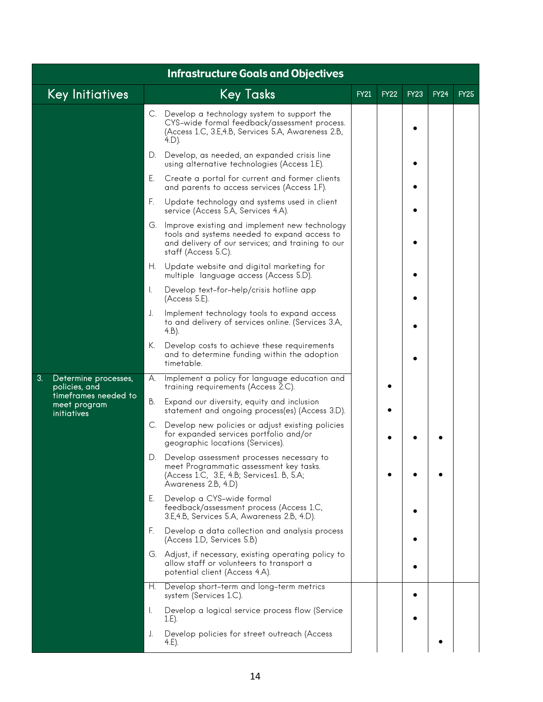|    | <b>Infrastructure Goals and Objectives</b>                |     |                                                                                                                                                                              |             |             |             |             |             |  |  |  |  |  |
|----|-----------------------------------------------------------|-----|------------------------------------------------------------------------------------------------------------------------------------------------------------------------------|-------------|-------------|-------------|-------------|-------------|--|--|--|--|--|
|    | <b>Key Initiatives</b>                                    |     | <b>Key Tasks</b>                                                                                                                                                             | <b>FY21</b> | <b>FY22</b> | <b>FY23</b> | <b>FY24</b> | <b>FY25</b> |  |  |  |  |  |
|    |                                                           |     | C. Develop a technology system to support the<br>CYS-wide formal feedback/assessment process.<br>(Access 1.C, 3.E, 4.B, Services 5.A, Awareness 2.B,<br>$4.D$ ).             |             |             |             |             |             |  |  |  |  |  |
|    |                                                           | D.  | Develop, as needed, an expanded crisis line<br>using alternative technologies (Access 1.E).                                                                                  |             |             |             |             |             |  |  |  |  |  |
|    |                                                           | Е.  | Create a portal for current and former clients<br>and parents to access services (Access 1.F).                                                                               |             |             |             |             |             |  |  |  |  |  |
|    |                                                           | F.  | Update technology and systems used in client<br>service (Access 5.A, Services 4.A).                                                                                          |             |             |             |             |             |  |  |  |  |  |
|    |                                                           |     | G. Improve existing and implement new technology<br>tools and systems needed to expand access to<br>and delivery of our services; and training to our<br>staff (Access 5.C). |             |             |             |             |             |  |  |  |  |  |
|    |                                                           |     | H. Update website and digital marketing for<br>multiple language access (Access 5.D).                                                                                        |             |             |             |             |             |  |  |  |  |  |
|    |                                                           | I.  | Develop text-for-help/crisis hotline app<br>(Access 5.E).                                                                                                                    |             |             |             |             |             |  |  |  |  |  |
|    |                                                           | J.  | Implement technology tools to expand access<br>to and delivery of services online. (Services 3.A,<br>$4.B$ ).                                                                |             |             |             |             |             |  |  |  |  |  |
|    |                                                           | К.  | Develop costs to achieve these requirements<br>and to determine funding within the adoption<br>timetable.                                                                    |             |             |             |             |             |  |  |  |  |  |
| 3. | Determine processes,<br>policies, and                     | А.  | Implement a policy for language education and<br>training requirements (Access 2.C).                                                                                         |             |             |             |             |             |  |  |  |  |  |
|    | timeframes needed to<br>В.<br>meet program<br>initiatives |     | Expand our diversity, equity and inclusion<br>statement and ongoing process(es) (Access 3.D).                                                                                |             |             |             |             |             |  |  |  |  |  |
|    |                                                           | C.  | Develop new policies or adjust existing policies<br>for expanded services portfolio and/or<br>geographic locations (Services).                                               |             |             |             |             |             |  |  |  |  |  |
|    |                                                           | D.  | Develop assessment processes necessary to<br>meet Programmatic assessment key tasks.<br>(Access 1.C, 3.E, 4.B; Services1. B, 5.A;<br>Awareness 2.B, 4.D)                     |             |             |             |             |             |  |  |  |  |  |
|    |                                                           | Е.  | Develop a CYS-wide formal<br>feedback/assessment process (Access 1.C,<br>3.E,4.B, Services 5.A, Awareness 2.B, 4.D).                                                         |             |             |             |             |             |  |  |  |  |  |
|    |                                                           | F.  | Develop a data collection and analysis process<br>(Access 1.D, Services 5.B)                                                                                                 |             |             |             |             |             |  |  |  |  |  |
|    |                                                           |     | G. Adjust, if necessary, existing operating policy to<br>allow staff or volunteers to transport a<br>potential client (Access 4.A).                                          |             |             |             |             |             |  |  |  |  |  |
|    |                                                           | H., | Develop short-term and long-term metrics<br>system (Services 1.C).                                                                                                           |             |             |             |             |             |  |  |  |  |  |
|    |                                                           | I.  | Develop a logical service process flow (Service<br>$1.E$ ).                                                                                                                  |             |             |             |             |             |  |  |  |  |  |
|    |                                                           | J.  | Develop policies for street outreach (Access<br>4.E).                                                                                                                        |             |             |             |             |             |  |  |  |  |  |